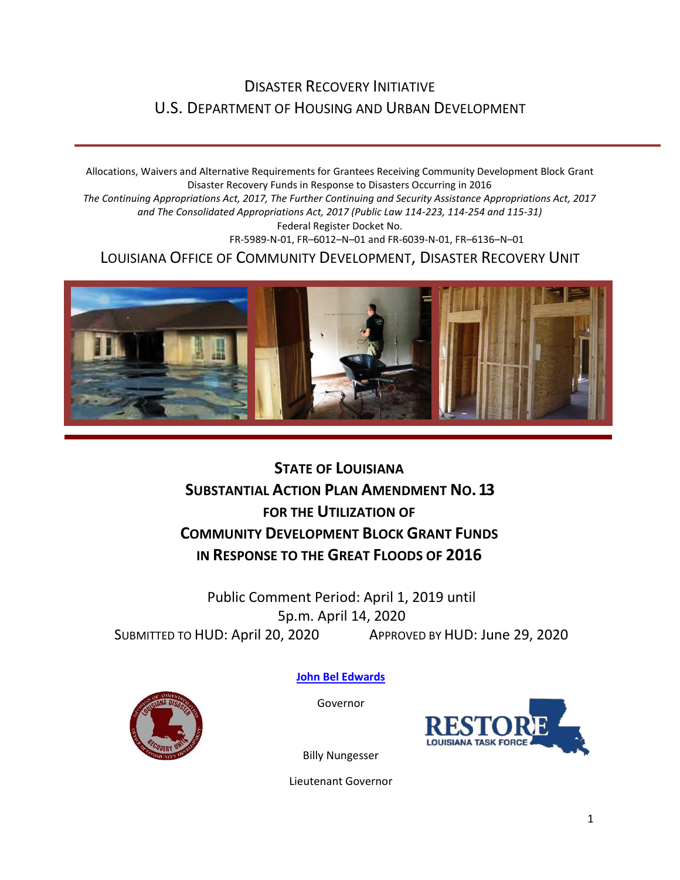# DISASTER RECOVERY INITIATIVE U.S. DEPARTMENT OF HOUSING AND URBAN DEVELOPMENT

Allocations, Waivers and Alternative Requirements for Grantees Receiving Community Development Block Grant Disaster Recovery Funds in Response to Disasters Occurring in 2016 *The Continuing Appropriations Act, 2017, The Further Continuing and Security Assistance Appropriations Act, 2017 and The Consolidated Appropriations Act, 2017 (Public Law 114-223, 114-254 and 115-31)* Federal Register Docket No. FR-5989-N-01, FR–6012–N–01 and FR-6039-N-01, FR–6136–N–01 LOUISIANA OFFICE OF COMMUNITY DEVELOPMENT, DISASTER RECOVERY UNIT

**STATE OF LOUISIANA SUBSTANTIAL ACTION PLAN AMENDMENT NO.13 FOR THE UTILIZATION OF COMMUNITY DEVELOPMENT BLOCK GRANT FUNDS IN RESPONSE TO THE GREAT FLOODS OF 2016**

Public Comment Period: April 1, 2019 until 5p.m. April 14, 2020 SUBMITTED TO HUD: April 20, 2020 APPROVED BY HUD: June 29, 2020



**[John Bel Edwards](https://www.facebook.com/LouisianaGov/)**

Governor



Billy Nungesser

Lieutenant Governor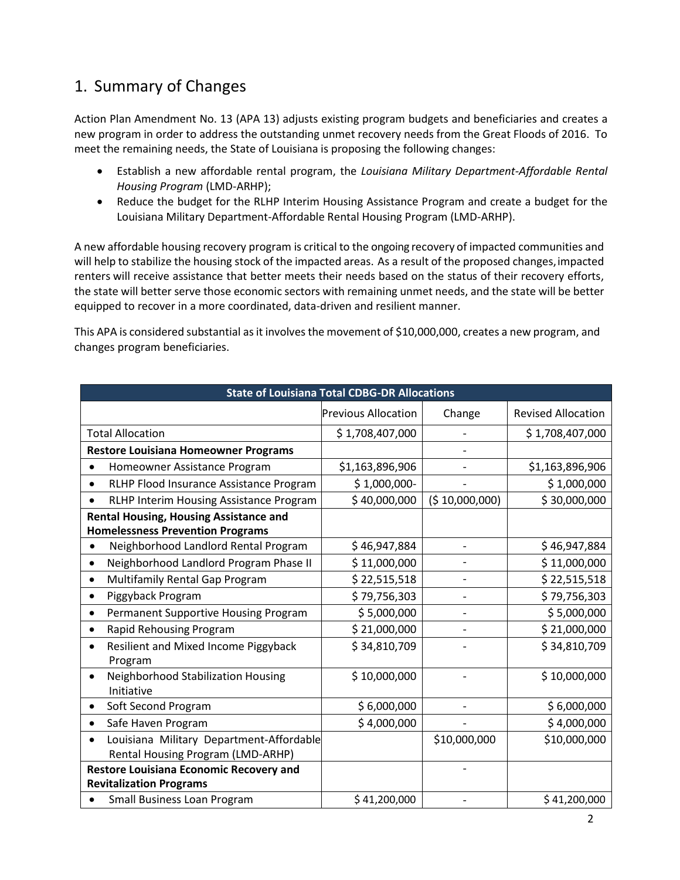### 1. Summary of Changes

Action Plan Amendment No. 13 (APA 13) adjusts existing program budgets and beneficiaries and creates a new program in order to address the outstanding unmet recovery needs from the Great Floods of 2016. To meet the remaining needs, the State of Louisiana is proposing the following changes:

- Establish a new affordable rental program, the *Louisiana Military Department-Affordable Rental Housing Program* (LMD-ARHP);
- Reduce the budget for the RLHP Interim Housing Assistance Program and create a budget for the Louisiana Military Department-Affordable Rental Housing Program (LMD-ARHP).

A new affordable housing recovery program is critical to the ongoing recovery of impacted communities and will help to stabilize the housing stock of the impacted areas. As a result of the proposed changes, impacted renters will receive assistance that better meets their needs based on the status of their recovery efforts, the state will better serve those economic sectors with remaining unmet needs, and the state will be better equipped to recover in a more coordinated, data-driven and resilient manner.

This APA is considered substantial as it involves the movement of \$10,000,000, creates a new program, and changes program beneficiaries.

| <b>State of Louisiana Total CDBG-DR Allocations</b>                           |                            |                |                           |  |  |  |
|-------------------------------------------------------------------------------|----------------------------|----------------|---------------------------|--|--|--|
|                                                                               | <b>Previous Allocation</b> | Change         | <b>Revised Allocation</b> |  |  |  |
| <b>Total Allocation</b>                                                       | \$1,708,407,000            |                | \$1,708,407,000           |  |  |  |
| <b>Restore Louisiana Homeowner Programs</b>                                   |                            |                |                           |  |  |  |
| Homeowner Assistance Program                                                  | \$1,163,896,906            |                | \$1,163,896,906           |  |  |  |
| RLHP Flood Insurance Assistance Program                                       | $$1,000,000-$              |                | \$1,000,000               |  |  |  |
| RLHP Interim Housing Assistance Program                                       | \$40,000,000               | (5 10,000,000) | \$30,000,000              |  |  |  |
| Rental Housing, Housing Assistance and                                        |                            |                |                           |  |  |  |
| <b>Homelessness Prevention Programs</b>                                       |                            |                |                           |  |  |  |
| Neighborhood Landlord Rental Program                                          | \$46,947,884               |                | \$46,947,884              |  |  |  |
| Neighborhood Landlord Program Phase II                                        | \$11,000,000               |                | \$11,000,000              |  |  |  |
| Multifamily Rental Gap Program                                                | \$22,515,518               |                | \$22,515,518              |  |  |  |
| Piggyback Program                                                             | \$79,756,303               |                | \$79,756,303              |  |  |  |
| Permanent Supportive Housing Program<br>$\bullet$                             | \$5,000,000                |                | \$5,000,000               |  |  |  |
| Rapid Rehousing Program<br>$\bullet$                                          | \$21,000,000               |                | \$21,000,000              |  |  |  |
| Resilient and Mixed Income Piggyback<br>$\bullet$<br>Program                  | \$34,810,709               |                | \$34,810,709              |  |  |  |
| Neighborhood Stabilization Housing<br>٠<br>Initiative                         | \$10,000,000               |                | \$10,000,000              |  |  |  |
| Soft Second Program                                                           | \$6,000,000                |                | \$6,000,000               |  |  |  |
| Safe Haven Program                                                            | \$4,000,000                |                | \$4,000,000               |  |  |  |
| Louisiana Military Department-Affordable<br>Rental Housing Program (LMD-ARHP) |                            | \$10,000,000   | \$10,000,000              |  |  |  |
| Restore Louisiana Economic Recovery and                                       |                            |                |                           |  |  |  |
| <b>Revitalization Programs</b>                                                |                            |                |                           |  |  |  |
| Small Business Loan Program                                                   | \$41,200,000               |                | \$41,200,000              |  |  |  |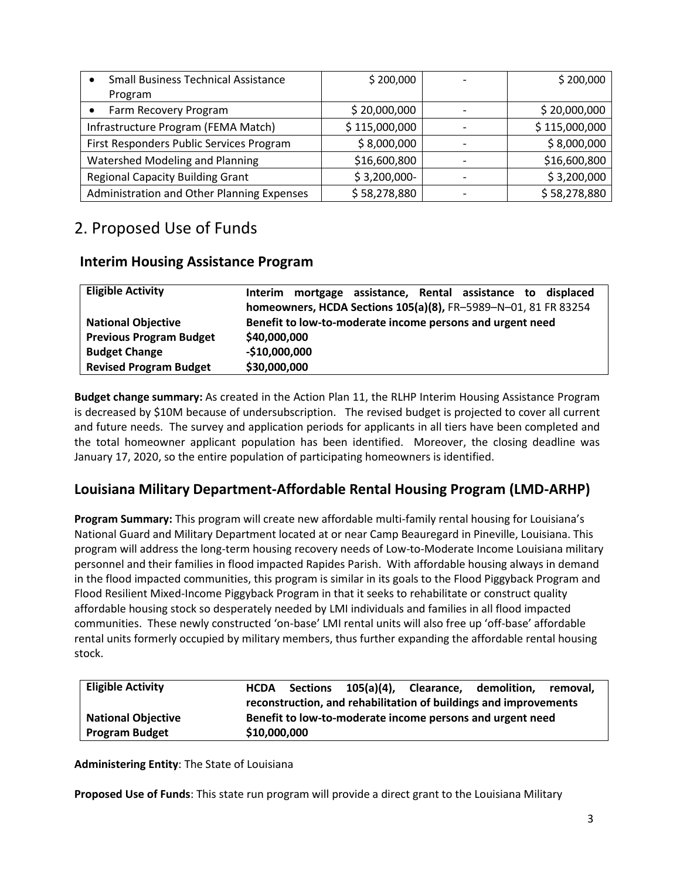| <b>Small Business Technical Assistance</b> | \$200,000     | \$200,000     |
|--------------------------------------------|---------------|---------------|
| Program                                    |               |               |
| Farm Recovery Program                      | \$20,000,000  | \$20,000,000  |
| Infrastructure Program (FEMA Match)        | \$115,000,000 | \$115,000,000 |
| First Responders Public Services Program   | \$8,000,000   | \$8,000,000   |
| Watershed Modeling and Planning            | \$16,600,800  | \$16,600,800  |
| <b>Regional Capacity Building Grant</b>    | $$3,200,000-$ | \$3,200,000   |
| Administration and Other Planning Expenses | \$58,278,880  | \$58,278,880  |

## 2. Proposed Use of Funds

#### **Interim Housing Assistance Program**

| <b>Eligible Activity</b>       | mortgage assistance, Rental assistance to displaced<br><b>Interim</b> |
|--------------------------------|-----------------------------------------------------------------------|
|                                | homeowners, HCDA Sections 105(a)(8), FR-5989-N-01, 81 FR 83254        |
| <b>National Objective</b>      | Benefit to low-to-moderate income persons and urgent need             |
| <b>Previous Program Budget</b> | \$40,000,000                                                          |
| <b>Budget Change</b>           | $-$10,000,000$                                                        |
| <b>Revised Program Budget</b>  | \$30,000,000                                                          |

**Budget change summary:** As created in the Action Plan 11, the RLHP Interim Housing Assistance Program is decreased by \$10M because of undersubscription. The revised budget is projected to cover all current and future needs. The survey and application periods for applicants in all tiers have been completed and the total homeowner applicant population has been identified. Moreover, the closing deadline was January 17, 2020, so the entire population of participating homeowners is identified.

### **Louisiana Military Department-Affordable Rental Housing Program (LMD-ARHP)**

**Program Summary:** This program will create new affordable multi-family rental housing for Louisiana's National Guard and Military Department located at or near Camp Beauregard in Pineville, Louisiana. This program will address the long-term housing recovery needs of Low-to-Moderate Income Louisiana military personnel and their families in flood impacted Rapides Parish. With affordable housing always in demand in the flood impacted communities, this program is similar in its goals to the Flood Piggyback Program and Flood Resilient Mixed-Income Piggyback Program in that it seeks to rehabilitate or construct quality affordable housing stock so desperately needed by LMI individuals and families in all flood impacted communities. These newly constructed 'on-base' LMI rental units will also free up 'off-base' affordable rental units formerly occupied by military members, thus further expanding the affordable rental housing stock.

| <b>Eligible Activity</b>  | <b>HCDA</b>                                                      |                                                           | Sections 105(a)(4), |  | Clearance, demolition, | removal. |
|---------------------------|------------------------------------------------------------------|-----------------------------------------------------------|---------------------|--|------------------------|----------|
|                           | reconstruction, and rehabilitation of buildings and improvements |                                                           |                     |  |                        |          |
| <b>National Objective</b> |                                                                  | Benefit to low-to-moderate income persons and urgent need |                     |  |                        |          |
| <b>Program Budget</b>     | \$10,000,000                                                     |                                                           |                     |  |                        |          |

**Administering Entity**: The State of Louisiana

**Proposed Use of Funds**: This state run program will provide a direct grant to the Louisiana Military